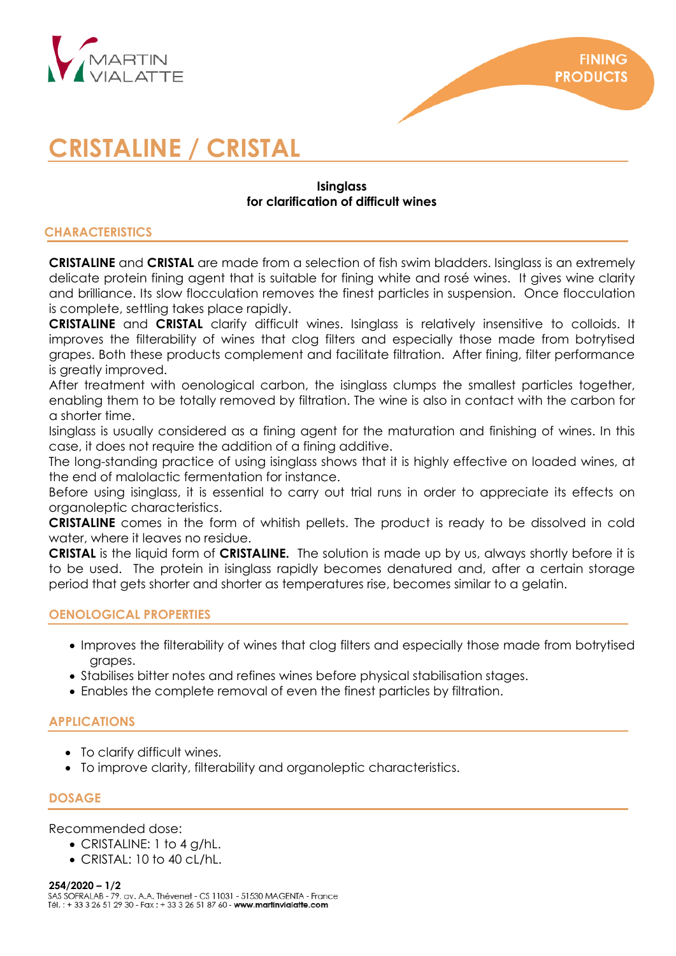

# **CRISTALINE / CRISTAL**

# **Isinglass for clarification of difficult wines**

# **CHARACTERISTICS**

**CRISTALINE** and **CRISTAL** are made from a selection of fish swim bladders. Isinglass is an extremely delicate protein fining agent that is suitable for fining white and rosé wines. It gives wine clarity and brilliance. Its slow flocculation removes the finest particles in suspension. Once flocculation is complete, settling takes place rapidly.

**CRISTALINE** and **CRISTAL** clarify difficult wines. Isinglass is relatively insensitive to colloids. It improves the filterability of wines that clog filters and especially those made from botrytised grapes. Both these products complement and facilitate filtration. After fining, filter performance is greatly improved.

After treatment with oenological carbon, the isinglass clumps the smallest particles together, enabling them to be totally removed by filtration. The wine is also in contact with the carbon for a shorter time.

Isinglass is usually considered as a fining agent for the maturation and finishing of wines. In this case, it does not require the addition of a fining additive.

The long-standing practice of using isinglass shows that it is highly effective on loaded wines, at the end of malolactic fermentation for instance.

Before using isinglass, it is essential to carry out trial runs in order to appreciate its effects on organoleptic characteristics.

**CRISTALINE** comes in the form of whitish pellets. The product is ready to be dissolved in cold water, where it leaves no residue.

**CRISTAL** is the liquid form of **CRISTALINE.** The solution is made up by us, always shortly before it is to be used. The protein in isinglass rapidly becomes denatured and, after a certain storage period that gets shorter and shorter as temperatures rise, becomes similar to a gelatin.

# **OENOLOGICAL PROPERTIES**

- Improves the filterability of wines that clog filters and especially those made from botrytised grapes.
- Stabilises bitter notes and refines wines before physical stabilisation stages.
- Enables the complete removal of even the finest particles by filtration.

# **APPLICATIONS**

- To clarify difficult wines.
- To improve clarity, filterability and organoleptic characteristics.

# **DOSAGE**

Recommended dose:

- CRISTALINE: 1 to 4 g/hL.
- CRISTAL: 10 to 40 cL/hL.

**254/2020 – 1/2**Tél.: + 33 3 26 51 29 30 - Fax: + 33 3 26 51 87 60 - www.martinvialatte.com